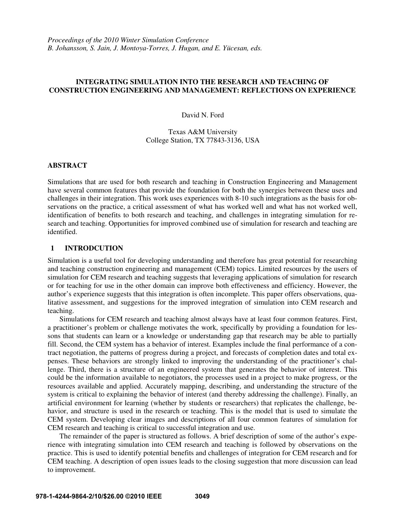# **INTEGRATING SIMULATION INTO THE RESEARCH AND TEACHING OF CONSTRUCTION ENGINEERING AND MANAGEMENT: REFLECTIONS ON EXPERIENCE**

David N. Ford

Texas A&M University College Station, TX 77843-3136, USA

### **ABSTRACT**

Simulations that are used for both research and teaching in Construction Engineering and Management have several common features that provide the foundation for both the synergies between these uses and challenges in their integration. This work uses experiences with 8-10 such integrations as the basis for observations on the practice, a critical assessment of what has worked well and what has not worked well, identification of benefits to both research and teaching, and challenges in integrating simulation for research and teaching. Opportunities for improved combined use of simulation for research and teaching are identified.

## **1 INTRODCUTION**

Simulation is a useful tool for developing understanding and therefore has great potential for researching and teaching construction engineering and management (CEM) topics. Limited resources by the users of simulation for CEM research and teaching suggests that leveraging applications of simulation for research or for teaching for use in the other domain can improve both effectiveness and efficiency. However, the author's experience suggests that this integration is often incomplete. This paper offers observations, qualitative assessment, and suggestions for the improved integration of simulation into CEM research and teaching.

 Simulations for CEM research and teaching almost always have at least four common features. First, a practitioner's problem or challenge motivates the work, specifically by providing a foundation for lessons that students can learn or a knowledge or understanding gap that research may be able to partially fill. Second, the CEM system has a behavior of interest. Examples include the final performance of a contract negotiation, the patterns of progress during a project, and forecasts of completion dates and total expenses. These behaviors are strongly linked to improving the understanding of the practitioner's challenge. Third, there is a structure of an engineered system that generates the behavior of interest. This could be the information available to negotiators, the processes used in a project to make progress, or the resources available and applied. Accurately mapping, describing, and understanding the structure of the system is critical to explaining the behavior of interest (and thereby addressing the challenge). Finally, an artificial environment for learning (whether by students or researchers) that replicates the challenge, behavior, and structure is used in the research or teaching. This is the model that is used to simulate the CEM system. Developing clear images and descriptions of all four common features of simulation for CEM research and teaching is critical to successful integration and use.

 The remainder of the paper is structured as follows. A brief description of some of the author's experience with integrating simulation into CEM research and teaching is followed by observations on the practice. This is used to identify potential benefits and challenges of integration for CEM research and for CEM teaching. A description of open issues leads to the closing suggestion that more discussion can lead to improvement.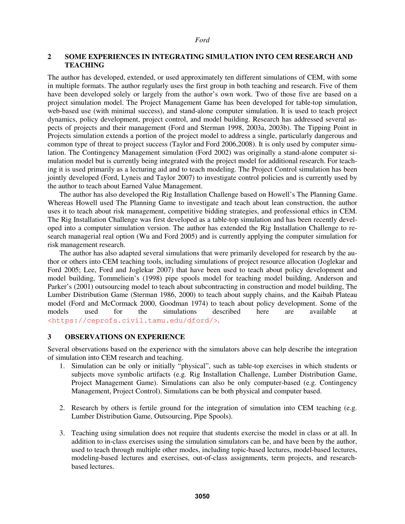# **2 SOME EXPERIENCES IN INTEGRATING SIMULATION INTO CEM RESEARCH AND TEACHING**

The author has developed, extended, or used approximately ten different simulations of CEM, with some in multiple formats. The author regularly uses the first group in both teaching and research. Five of them have been developed solely or largely from the author's own work. Two of those five are based on a project simulation model. The Project Management Game has been developed for table-top simulation, web-based use (with minimal success), and stand-alone computer simulation. It is used to teach project dynamics, policy development, project control, and model building. Research has addressed several aspects of projects and their management (Ford and Sterman 1998, 2003a, 2003b). The Tipping Point in Projects simulation extends a portion of the project model to address a single, particularly dangerous and common type of threat to project success (Taylor and Ford 2006,2008). It is only used by computer simulation. The Contingency Management simulation (Ford 2002) was originally a stand-alone computer simulation model but is currently being integrated with the project model for additional research. For teaching it is used primarily as a lecturing aid and to teach modeling. The Project Control simulation has been jointly developed (Ford, Lyneis and Taylor 2007) to investigate control policies and is currently used by the author to teach about Earned Value Management.

 The author has also developed the Rig Installation Challenge based on Howell's The Planning Game. Whereas Howell used The Planning Game to investigate and teach about lean construction, the author uses it to teach about risk management, competitive bidding strategies, and professional ethics in CEM. The Rig Installation Challenge was first developed as a table-top simulation and has been recently developed into a computer simulation version. The author has extended the Rig Installation Challenge to research managerial real option (Wu and Ford 2005) and is currently applying the computer simulation for risk management research.

 The author has also adapted several simulations that were primarily developed for research by the author or others into CEM teaching tools, including simulations of project resource allocation (Joglekar and Ford 2005; Lee, Ford and Joglekar 2007) that have been used to teach about policy development and model building, Tommeliein's (1998) pipe spools model for teaching model building, Anderson and Parker's (2001) outsourcing model to teach about subcontracting in construction and model building, The Lumber Distribution Game (Sterman 1986, 2000) to teach about supply chains, and the Kaibab Plateau model (Ford and McCormack 2000, Goodman 1974) to teach about policy development. Some of the models used for the simulations described here are available at <https://ceprofs.civil.tamu.edu/dford/>.

#### **3 OBSERVATIONS ON EXPERIENCE**

Several observations based on the experience with the simulators above can help describe the integration of simulation into CEM research and teaching.

- 1. Simulation can be only or initially "physical", such as table-top exercises in which students or subjects move symbolic artifacts (e.g. Rig Installation Challenge, Lumber Distribution Game, Project Management Game). Simulations can also be only computer-based (e.g. Contingency Management, Project Control). Simulations can be both physical and computer based.
- 2. Research by others is fertile ground for the integration of simulation into CEM teaching (e.g. Lumber Distribution Game, Outsourcing, Pipe Spools).
- 3. Teaching using simulation does not require that students exercise the model in class or at all. In addition to in-class exercises using the simulation simulators can be, and have been by the author, used to teach through multiple other modes, including topic-based lectures, model-based lectures, modeling-based lectures and exercises, out-of-class assignments, term projects, and researchbased lectures.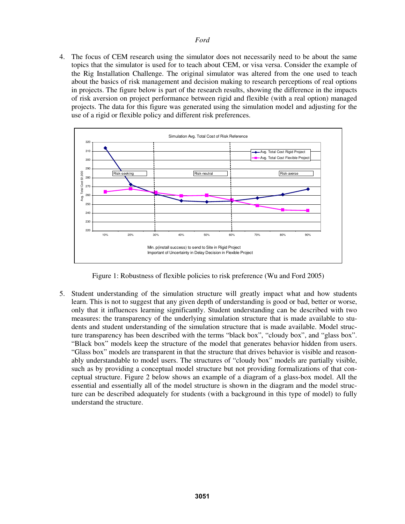4. The focus of CEM research using the simulator does not necessarily need to be about the same topics that the simulator is used for to teach about CEM, or visa versa. Consider the example of the Rig Installation Challenge. The original simulator was altered from the one used to teach about the basics of risk management and decision making to research perceptions of real options in projects. The figure below is part of the research results, showing the difference in the impacts of risk aversion on project performance between rigid and flexible (with a real option) managed projects. The data for this figure was generated using the simulation model and adjusting for the use of a rigid or flexible policy and different risk preferences.



Figure 1: Robustness of flexible policies to risk preference (Wu and Ford 2005)

5. Student understanding of the simulation structure will greatly impact what and how students learn. This is not to suggest that any given depth of understanding is good or bad, better or worse, only that it influences learning significantly. Student understanding can be described with two measures: the transparency of the underlying simulation structure that is made available to students and student understanding of the simulation structure that is made available. Model structure transparency has been described with the terms "black box", "cloudy box", and "glass box". "Black box" models keep the structure of the model that generates behavior hidden from users. "Glass box" models are transparent in that the structure that drives behavior is visible and reasonably understandable to model users. The structures of "cloudy box" models are partially visible, such as by providing a conceptual model structure but not providing formalizations of that conceptual structure. Figure 2 below shows an example of a diagram of a glass-box model. All the essential and essentially all of the model structure is shown in the diagram and the model structure can be described adequately for students (with a background in this type of model) to fully understand the structure.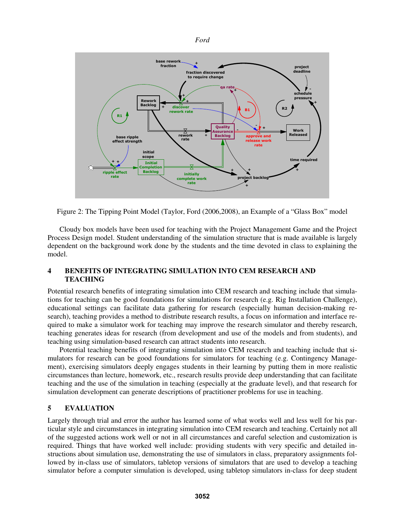

Figure 2: The Tipping Point Model (Taylor, Ford (2006,2008), an Example of a "Glass Box" model

 Cloudy box models have been used for teaching with the Project Management Game and the Project Process Design model. Student understanding of the simulation structure that is made available is largely dependent on the background work done by the students and the time devoted in class to explaining the model.

## **4 BENEFITS OF INTEGRATING SIMULATION INTO CEM RESEARCH AND TEACHING**

Potential research benefits of integrating simulation into CEM research and teaching include that simulations for teaching can be good foundations for simulations for research (e.g. Rig Installation Challenge), educational settings can facilitate data gathering for research (especially human decision-making research), teaching provides a method to distribute research results, a focus on information and interface required to make a simulator work for teaching may improve the research simulator and thereby research, teaching generates ideas for research (from development and use of the models and from students), and teaching using simulation-based research can attract students into research.

 Potential teaching benefits of integrating simulation into CEM research and teaching include that simulators for research can be good foundations for simulators for teaching (e.g. Contingency Management), exercising simulators deeply engages students in their learning by putting them in more realistic circumstances than lecture, homework, etc., research results provide deep understanding that can facilitate teaching and the use of the simulation in teaching (especially at the graduate level), and that research for simulation development can generate descriptions of practitioner problems for use in teaching.

## **5 EVALUATION**

Largely through trial and error the author has learned some of what works well and less well for his particular style and circumstances in integrating simulation into CEM research and teaching. Certainly not all of the suggested actions work well or not in all circumstances and careful selection and customization is required. Things that have worked well include: providing students with very specific and detailed instructions about simulation use, demonstrating the use of simulators in class, preparatory assignments followed by in-class use of simulators, tabletop versions of simulators that are used to develop a teaching simulator before a computer simulation is developed, using tabletop simulators in-class for deep student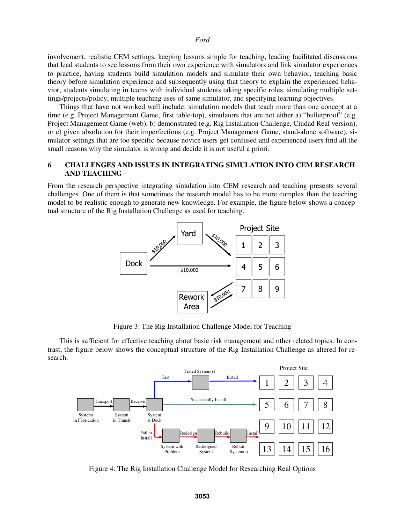involvement, realistic CEM settings, keeping lessons simple for teaching, leading facilitated discussions that lead students to see lessons from their own experience with simulators and link simulator experiences to practice, having students build simulation models and simulate their own behavior, teaching basic theory before simulation experience and subsequently using that theory to explain the experienced behavior, students simulating in teams with individual students taking specific roles, simulating multiple settings/projects/policy, multiple teaching uses of same simulator, and specifying learning objectives.

 Things that have not worked well include: simulation models that teach more than one concept at a time (e.g. Project Management Game, first table-top), simulators that are not either a) "bulletproof" (e.g. Project Management Game (web), b) demonstrated (e.g. Rig Installation Challenge, Ciudad Real version), or c) given absolution for their imperfections (e.g. Project Management Game, stand-alone software), simulator settings that are too specific because novice users get confused and experienced users find all the small reasons why the simulator is wrong and decide it is not useful a priori.

## **6 CHALLENGES AND ISSUES IN INTEGRATING SIMULATION INTO CEM RESEARCH AND TEACHING**

From the research perspective integrating simulation into CEM research and teaching presents several challenges. One of them is that sometimes the research model has to be more complex than the teaching model to be realistic enough to generate new knowledge. For example, the figure below shows a conceptual structure of the Rig Installation Challenge as used for teaching.



Figure 3: The Rig Installation Challenge Model for Teaching

 This is sufficient for effective teaching about basic risk management and other related topics. In contrast, the figure below shows the conceptual structure of the Rig Installation Challenge as altered for research.



Figure 4: The Rig Installation Challenge Model for Researching Real Options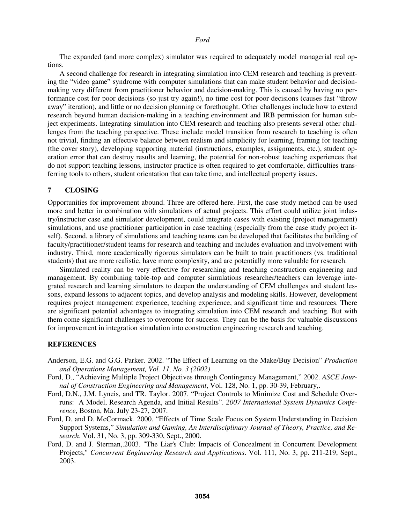The expanded (and more complex) simulator was required to adequately model managerial real options.

 A second challenge for research in integrating simulation into CEM research and teaching is preventing the "video game" syndrome with computer simulations that can make student behavior and decisionmaking very different from practitioner behavior and decision-making. This is caused by having no performance cost for poor decisions (so just try again!), no time cost for poor decisions (causes fast "throw away" iteration), and little or no decision planning or forethought. Other challenges include how to extend research beyond human decision-making in a teaching environment and IRB permission for human subject experiments. Integrating simulation into CEM research and teaching also presents several other challenges from the teaching perspective. These include model transition from research to teaching is often not trivial, finding an effective balance between realism and simplicity for learning, framing for teaching (the cover story), developing supporting material (instructions, examples, assignments, etc.), student operation error that can destroy results and learning, the potential for non-robust teaching experiences that do not support teaching lessons, instructor practice is often required to get comfortable, difficulties transferring tools to others, student orientation that can take time, and intellectual property issues.

### **7 CLOSING**

Opportunities for improvement abound. Three are offered here. First, the case study method can be used more and better in combination with simulations of actual projects. This effort could utilize joint industry/instructor case and simulator development, could integrate cases with existing (project management) simulations, and use practitioner participation in case teaching (especially from the case study project itself). Second, a library of simulations and teaching teams can be developed that facilitates the building of faculty/practitioner/student teams for research and teaching and includes evaluation and involvement with industry. Third, more academically rigorous simulators can be built to train practitioners (vs. traditional students) that are more realistic, have more complexity, and are potentially more valuable for research.

 Simulated reality can be very effective for researching and teaching construction engineering and management. By combining table-top and computer simulations researcher/teachers can leverage integrated research and learning simulators to deepen the understanding of CEM challenges and student lessons, expand lessons to adjacent topics, and develop analysis and modeling skills. However, development requires project management experience, teaching experience, and significant time and resources. There are significant potential advantages to integrating simulation into CEM research and teaching. But with them come significant challenges to overcome for success. They can be the basis for valuable discussions for improvement in integration simulation into construction engineering research and teaching.

#### **REFERENCES**

- Anderson, E.G. and G.G. Parker. 2002. "The Effect of Learning on the Make/Buy Decision" *Production and Operations Management, Vol. 11, No. 3 (2002)*
- Ford, D., "Achieving Multiple Project Objectives through Contingency Management," 2002. *ASCE Journal of Construction Engineering and Management*, Vol. 128, No. 1, pp. 30-39, February,.
- Ford, D.N., J.M. Lyneis, and TR. Taylor. 2007. "Project Controls to Minimize Cost and Schedule Overruns: A Model, Research Agenda, and Initial Results". *2007 International System Dynamics Conference*, Boston, Ma. July 23-27, 2007.
- Ford, D. and D. McCormack. 2000. "Effects of Time Scale Focus on System Understanding in Decision Support Systems," *Simulation and Gaming, An Interdisciplinary Journal of Theory, Practice, and Research*. Vol. 31, No. 3, pp. 309-330, Sept., 2000.
- Ford, D. and J. Sterman,.2003. "The Liar's Club: Impacts of Concealment in Concurrent Development Projects," *Concurrent Engineering Research and Applications*. Vol. 111, No. 3, pp. 211-219, Sept., 2003.